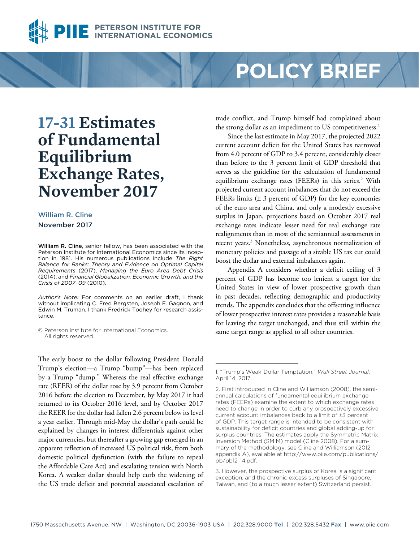

# **POLICY BRIEF**

## **17-31 Estimates of Fundamental Equilibrium Exchange Rates, November 2017**

### William R. Cline November 2017

William R. Cline, senior fellow, has been associated with the Peterson Institute for International Economics since its inception in 1981. His numerous publications include *The Right Balance for Banks: Theory and Evidence on Optimal Capital Requirements* (2017), *Managing the Euro Area Debt Crisis* (2014), and *Financial Globalization, Economic Growth, and the Crisis of 2007–09* (2010).

*Author's Note:* For comments on an earlier draft, I thank without implicating C. Fred Bergsten, Joseph E. Gagnon, and Edwin M. Truman. I thank Fredrick Toohey for research assistance.

© Peterson Institute for International Economics. All rights reserved.

The early boost to the dollar following President Donald Trump's election—a Trump "bump"—has been replaced by a Trump "dump." Whereas the real effective exchange rate (REER) of the dollar rose by 3.9 percent from October 2016 before the election to December, by May 2017 it had returned to its October 2016 level, and by October 2017 the REER for the dollar had fallen 2.6 percent below its level a year earlier. Through mid-May the dollar's path could be explained by changes in interest differentials against other major currencies, but thereafter a growing gap emerged in an apparent reflection of increased US political risk, from both domestic political dysfunction (with the failure to repeal the Affordable Care Act) and escalating tension with North Korea. A weaker dollar should help curb the widening of the US trade deficit and potential associated escalation of trade conflict, and Trump himself had complained about the strong dollar as an impediment to US competitiveness.<sup>1</sup>

Since the last estimate in May 2017, the projected 2022 current account deficit for the United States has narrowed from 4.0 percent of GDP to 3.4 percent, considerably closer than before to the 3 percent limit of GDP threshold that serves as the guideline for the calculation of fundamental equilibrium exchange rates (FEERs) in this series.<sup>2</sup> With projected current account imbalances that do not exceed the FEERs limits  $(\pm 3)$  percent of GDP) for the key economies of the euro area and China, and only a modestly excessive surplus in Japan, projections based on October 2017 real exchange rates indicate lesser need for real exchange rate realignments than in most of the semiannual assessments in recent years.<sup>3</sup> Nonetheless, asynchronous normalization of monetary policies and passage of a sizable US tax cut could boost the dollar and external imbalances again.

Appendix A considers whether a deficit ceiling of 3 percent of GDP has become too lenient a target for the United States in view of lower prospective growth than in past decades, reflecting demographic and productivity trends. The appendix concludes that the offsetting influence of lower prospective interest rates provides a reasonable basis for leaving the target unchanged, and thus still within the same target range as applied to all other countries.

<sup>1. &</sup>quot;Trump's Weak-Dollar Temptation," *Wall Street Journal*, April 14, 2017.

<sup>2.</sup> First introduced in Cline and Williamson (2008), the semiannual calculations of fundamental equilibrium exchange rates (FEERs) examine the extent to which exchange rates need to change in order to curb any prospectively excessive current account imbalances back to a limit of ±3 percent of GDP. This target range is intended to be consistent with sustainability for deficit countries and global adding-up for surplus countries. The estimates apply the Symmetric Matrix Inversion Method (SMIM) model (Cline 2008). For a summary of the methodology, see Cline and Williamson (2012, [appendix A\), available at http://www.piie.com/publications/](http://www.piie.com/publications/pb/pb12-14.pdf) pb/pb12-14.pdf.

<sup>3.</sup> However, the prospective surplus of Korea is a significant exception, and the chronic excess surpluses of Singapore, Taiwan, and (to a much lesser extent) Switzerland persist.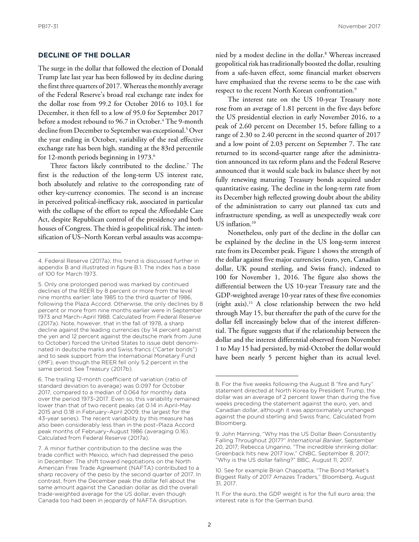### **DECLINE OF THE DOLLAR**

The surge in the dollar that followed the election of Donald Trump late last year has been followed by its decline during the first three quarters of 2017. Whereas the monthly average of the Federal Reserve's broad real exchange rate index for the dollar rose from 99.2 for October 2016 to 103.1 for December, it then fell to a low of 95.0 for September 2017 before a modest rebound to 96.7 in October.<sup>4</sup> The 9-month decline from December to September was exceptional.5 Over the year ending in October, variability of the real effective exchange rate has been high, standing at the 83rd percentile for 12-month periods beginning in 1973.<sup>6</sup>

Three factors likely contributed to the decline.<sup>7</sup> The first is the reduction of the long-term US interest rate, both absolutely and relative to the corresponding rate of other key-currency economies. The second is an increase in perceived political-inefficacy risk, associated in particular with the collapse of the effort to repeal the Affordable Care Act, despite Republican control of the presidency and both houses of Congress. The third is geopolitical risk. The intensification of US–North Korean verbal assaults was accompa-

6. The trailing 12-month coefficient of variation (ratio of standard deviation to average) was 0.097 for October 2017, compared to a median of 0.064 for monthly data over the period 1973–2017. Even so, this variability remained lower than that of two recent peaks (at 0.14 in April–May 2015 and 0.18 in February–April 2009, the largest for the 43-year series). The recent variability by this measure has also been considerably less than in the post–Plaza Accord peak months of February–August 1986 (averaging 0.16). Calculated from Federal Reserve (2017a).

nied by a modest decline in the dollar.8 Whereas increased geopolitical risk has traditionally boosted the dollar, resulting from a safe-haven effect, some financial market observers have emphasized that the reverse seems to be the case with respect to the recent North Korean confrontation.<sup>9</sup>

The interest rate on the US 10-year Treasury note rose from an average of 1.81 percent in the five days before the US presidential election in early November 2016, to a peak of 2.60 percent on December 15, before falling to a range of 2.30 to 2.40 percent in the second quarter of 2017 and a low point of 2.03 percent on September 7. The rate returned to its second-quarter range after the administration announced its tax reform plans and the Federal Reserve announced that it would scale back its balance sheet by not fully renewing maturing Treasury bonds acquired under quantitative easing. The decline in the long-term rate from its December high reflected growing doubt about the ability of the administration to carry out planned tax cuts and infrastructure spending, as well as unexpectedly weak core US inflation.<sup>10</sup>

Nonetheless, only part of the decline in the dollar can be explained by the decline in the US long-term interest rate from its December peak. Figure 1 shows the strength of the dollar against five major currencies (euro, yen, Canadian dollar, UK pound sterling, and Swiss franc), indexed to 100 for November 1, 2016. The figure also shows the differential between the US 10-year Treasury rate and the GDP-weighted average 10-year rates of these five economies (right axis).11 A close relationship between the two held through May 15, but thereafter the path of the curve for the dollar fell increasingly below that of the interest differential. The figure suggests that if the relationship between the dollar and the interest differential observed from November 1 to May 15 had persisted, by mid-October the dollar would have been nearly 5 percent higher than its actual level.

<sup>4.</sup> Federal Reserve (2017a); this trend is discussed further in appendix B and illustrated in figure B.1. The index has a base of 100 for March 1973.

<sup>5.</sup> Only one prolonged period was marked by continued declines of the REER by 8 percent or more from the level nine months earlier: late 1985 to the third quarter of 1986, following the Plaza Accord. Otherwise, the only declines by 8 percent or more from nine months earlier were in September 1973 and March–April 1988. Calculated from Federal Reserve (2017a). Note, however, that in the fall of 1978, a sharp decline against the leading currencies (by 14 percent against the yen and 12 percent against the deutsche mark from June to October) forced the United States to issue debt denominated in deutsche marks and Swiss francs ("Carter bonds") and to seek support from the International Monetary Fund (IMF), even though the REER fell only 5.2 percent in the same period. See Treasury (2017b).

<sup>7.</sup> A minor further contribution to the decline was the trade conflict with Mexico, which had depressed the peso in December. The shift toward negotiations on the North American Free Trade Agreement (NAFTA) contributed to a sharp recovery of the peso by the second quarter of 2017. In contrast, from the December peak the dollar fell about the same amount against the Canadian dollar as did the overall trade-weighted average for the US dollar, even though Canada too had been in jeopardy of NAFTA disruption.

<sup>8.</sup> For the five weeks following the August 8 "fire and fury" statement directed at North Korea by President Trump, the dollar was an average of 2 percent lower than during the five weeks preceding the statement against the euro, yen, and Canadian dollar, although it was approximately unchanged against the pound sterling and Swiss franc. Calculated from Bloomberg.

<sup>9.</sup> John Manning, "Why Has the US Dollar Been Consistently Falling Throughout 2017?" *International Banker*, September 20, 2017; Rebecca Ungarino, "The incredible shrinking dollar: Greenback hits new 2017 low," CNBC, September 8, 2017; "Why is the US dollar falling?" BBC, August 11, 2017.

<sup>10.</sup> See for example Brian Chappatta, "The Bond Market's Biggest Rally of 2017 Amazes Traders," Bloomberg, August 31, 2017.

<sup>11.</sup> For the euro, the GDP weight is for the full euro area; the interest rate is for the German bund.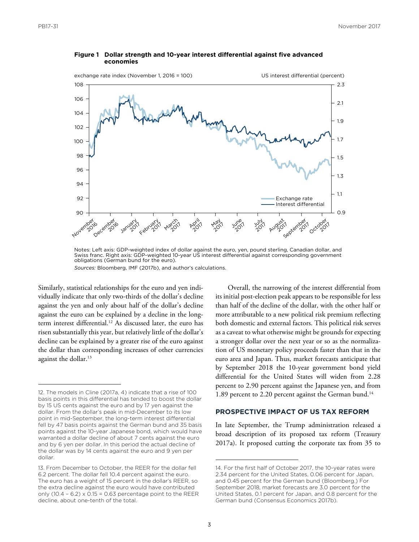

### **Figure 1 Dollar strength and 10-year interest differential against five advanced economies**

Notes: Left axis: GDP-weighted index of dollar against the euro, yen, pound sterling, Canadian dollar, and Swiss franc. Right axis: GDP-weighted 10-year US interest differential against corresponding government obligations (German bund for the euro). *Sources:* Bloomberg, IMF (2017b), and author's calculations.

Similarly, statistical relationships for the euro and yen individually indicate that only two-thirds of the dollar's decline against the yen and only about half of the dollar's decline against the euro can be explained by a decline in the longterm interest differential.<sup>12</sup> As discussed later, the euro has risen substantially this year, but relatively little of the dollar's decline can be explained by a greater rise of the euro against the dollar than corresponding increases of other currencies against the dollar.<sup>13</sup>

Overall, the narrowing of the interest differential from its initial post-election peak appears to be responsible for less than half of the decline of the dollar, with the other half or more attributable to a new political risk premium reflecting both domestic and external factors. This political risk serves as a caveat to what otherwise might be grounds for expecting a stronger dollar over the next year or so as the normalization of US monetary policy proceeds faster than that in the euro area and Japan. Thus, market forecasts anticipate that by September 2018 the 10-year government bond yield differential for the United States will widen from 2.28 percent to 2.90 percent against the Japanese yen, and from 1.89 percent to 2.20 percent against the German bund.<sup>14</sup>

### **PROSPECTIVE IMPACT OF US TAX REFORM**

In late September, the Trump administration released a broad description of its proposed tax reform (Treasury 2017a). It proposed cutting the corporate tax from 35 to

<sup>12.</sup> The models in Cline (2017a, 4) indicate that a rise of 100 basis points in this differential has tended to boost the dollar by 15 US cents against the euro and by 17 yen against the dollar. From the dollar's peak in mid-December to its low point in mid-September, the long-term interest differential fell by 47 basis points against the German bund and 35 basis points against the 10-year Japanese bond, which would have warranted a dollar decline of about 7 cents against the euro and by 6 yen per dollar. In this period the actual decline of the dollar was by 14 cents against the euro and 9 yen per dollar.

<sup>13.</sup> From December to October, the REER for the dollar fell 6.2 percent. The dollar fell 10.4 percent against the euro. The euro has a weight of 15 percent in the dollar's REER, so the extra decline against the euro would have contributed only  $(10.4 - 6.2) \times 0.15 = 0.63$  percentage point to the REER decline, about one-tenth of the total.

<sup>14.</sup> For the first half of October 2017, the 10-year rates were 2.34 percent for the United States, 0.06 percent for Japan, and 0.45 percent for the German bund (Bloomberg.) For September 2018, market forecasts are 3.0 percent for the United States, 0.1 percent for Japan, and 0.8 percent for the German bund (Consensus Economics 2017b).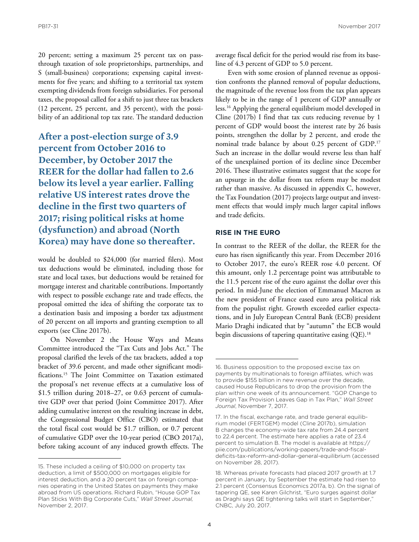20 percent; setting a maximum 25 percent tax on passthrough taxation of sole proprietorships, partnerships, and S (small-business) corporations; expensing capital investments for five years; and shifting to a territorial tax system exempting dividends from foreign subsidiaries. For personal taxes, the proposal called for a shift to just three tax brackets (12 percent, 25 percent, and 35 percent), with the possibility of an additional top tax rate. The standard deduction

**After a post-election surge of 3.9 percent from October 2016 to December, by October 2017 the REER for the dollar had fallen to 2.6 below its level a year earlier. Falling relative US interest rates drove the decline in the first two quarters of 2017; rising political risks at home (dysfunction) and abroad (North Korea) may have done so thereafter.**

would be doubled to \$24,000 (for married filers). Most tax deductions would be eliminated, including those for state and local taxes, but deductions would be retained for mortgage interest and charitable contributions. Importantly with respect to possible exchange rate and trade effects, the proposal omitted the idea of shifting the corporate tax to a destination basis and imposing a border tax adjustment of 20 percent on all imports and granting exemption to all exports (see Cline 2017b).

On November 2 the House Ways and Means Committee introduced the "Tax Cuts and Jobs Act." The proposal clarified the levels of the tax brackets, added a top bracket of 39.6 percent, and made other significant modifications.15 The Joint Committee on Taxation estimated the proposal's net revenue effects at a cumulative loss of \$1.5 trillion during 2018–27, or 0.63 percent of cumulative GDP over that period (Joint Committee 2017). After adding cumulative interest on the resulting increase in debt, the Congressional Budget Office (CBO) estimated that the total fiscal cost would be \$1.7 trillion, or 0.7 percent of cumulative GDP over the 10-year period (CBO 2017a), before taking account of any induced growth effects. The

average fiscal deficit for the period would rise from its baseline of 4.3 percent of GDP to 5.0 percent.

Even with some erosion of planned revenue as opposition confronts the planned removal of popular deductions, the magnitude of the revenue loss from the tax plan appears likely to be in the range of 1 percent of GDP annually or less.16 Applying the general equilibrium model developed in Cline (2017b) I find that tax cuts reducing revenue by 1 percent of GDP would boost the interest rate by 26 basis points, strengthen the dollar by 2 percent, and erode the nominal trade balance by about 0.25 percent of GDP.<sup>17</sup> Such an increase in the dollar would reverse less than half of the unexplained portion of its decline since December 2016. These illustrative estimates suggest that the scope for an upsurge in the dollar from tax reform may be modest rather than massive. As discussed in appendix C, however, the Tax Foundation (2017) projects large output and investment effects that would imply much larger capital inflows and trade deficits.

### **RISE IN THE EURO**

In contrast to the REER of the dollar, the REER for the euro has risen significantly this year. From December 2016 to October 2017, the euro's REER rose 4.0 percent. Of this amount, only 1.2 percentage point was attributable to the 11.5 percent rise of the euro against the dollar over this period. In mid-June the election of Emmanuel Macron as the new president of France eased euro area political risk from the populist right. Growth exceeded earlier expectations, and in July European Central Bank (ECB) president Mario Draghi indicated that by "autumn" the ECB would begin discussions of tapering quantitative easing (QE).<sup>18</sup>

<sup>15.</sup> These included a ceiling of \$10,000 on property tax deduction, a limit of \$500,000 on mortgages eligible for interest deduction, and a 20 percent tax on foreign companies operating in the United States on payments they make abroad from US operations. Richard Rubin, "House GOP Tax Plan Sticks With Big Corporate Cuts," *Wall Street Journal,* November 2, 2017.

<sup>16.</sup> Business opposition to the proposed excise tax on payments by multinationals to foreign affiliates, which was to provide \$155 billion in new revenue over the decade, caused House Republicans to drop the provision from the plan within one week of its announcement. "GOP Change to Foreign Tax Provision Leaves Gap in Tax Plan," *Wall Street Journal*, November 7, 2017.

<sup>17.</sup> In the fiscal, exchange rate, and trade general equilibrium model (FERTGEM) model (Cline 2017b), simulation B changes the economy-wide tax rate from 24.4 percent to 22.4 percent. The estimate here applies a rate of 23.4 [percent to simulation B. The model is available at https://](https://piie.com/publications/working-papers/trade-and-fiscal-deficits-tax-reform-and-dollar-general-equilibrium) piie.com/publications/working-papers/trade-and-fiscaldeficits-tax-reform-and-dollar-general-equilibrium (accessed on November 28, 2017).

<sup>18.</sup> Whereas private forecasts had placed 2017 growth at 1.7 percent in January, by September the estimate had risen to 2.1 percent (Consensus Economics 2017a, b). On the signal of tapering QE, see Karen Gilchrist, "Euro surges against dollar as Draghi says QE tightening talks will start in September," CNBC, July 20, 2017.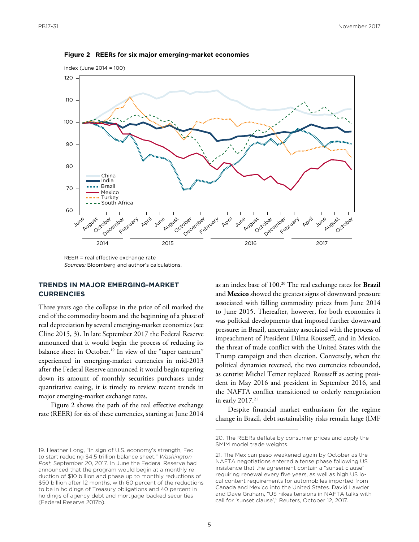

**Figure 2 REERs for six major emerging-market economies**

 $REER =$  real effective exchange rate *Sources:* Bloomberg and author's calculations.

### **TRENDS IN MAJOR EMERGING-MARKET CURRENCIES**

Three years ago the collapse in the price of oil marked the end of the commodity boom and the beginning of a phase of real depreciation by several emerging-market economies (see Cline 2015, 3). In late September 2017 the Federal Reserve announced that it would begin the process of reducing its balance sheet in October.<sup>19</sup> In view of the "taper tantrum" experienced in emerging-market currencies in mid-2013 after the Federal Reserve announced it would begin tapering down its amount of monthly securities purchases under quantitative easing, it is timely to review recent trends in major emerging-market exchange rates.

Figure 2 shows the path of the real effective exchange rate (REER) for six of these currencies, starting at June 2014

as an index base of 100.20 The real exchange rates for **Brazil**  and **Mexico** showed the greatest signs of downward pressure associated with falling commodity prices from June 2014 to June 2015. Thereafter, however, for both economies it was political developments that imposed further downward pressure: in Brazil, uncertainty associated with the process of impeachment of President Dilma Rousseff, and in Mexico, the threat of trade conflict with the United States with the Trump campaign and then election. Conversely, when the political dynamics reversed, the two currencies rebounded, as centrist Michel Temer replaced Rousseff as acting president in May 2016 and president in September 2016, and the NAFTA conflict transitioned to orderly renegotiation in early  $2017.<sup>21</sup>$ 

Despite financial market enthusiasm for the regime change in Brazil, debt sustainability risks remain large (IMF

<sup>19.</sup> Heather Long, "In sign of U.S. economy's strength, Fed to start reducing \$4.5 trillion balance sheet," *Washington Post*, September 20, 2017. In June the Federal Reserve had announced that the program would begin at a monthly reduction of \$10 billion and phase up to monthly reductions of \$50 billion after 12 months, with 60 percent of the reductions to be in holdings of Treasury obligations and 40 percent in holdings of agency debt and mortgage-backed securities (Federal Reserve 2017b).

<sup>20.</sup> The REERs deflate by consumer prices and apply the SMIM model trade weights.

<sup>21.</sup> The Mexican peso weakened again by October as the NAFTA negotiations entered a tense phase following US insistence that the agreement contain a "sunset clause" requiring renewal every five years, as well as high US local content requirements for automobiles imported from Canada and Mexico into the United States. David Lawder and Dave Graham, "US hikes tensions in NAFTA talks with call for 'sunset clause'," Reuters, October 12, 2017.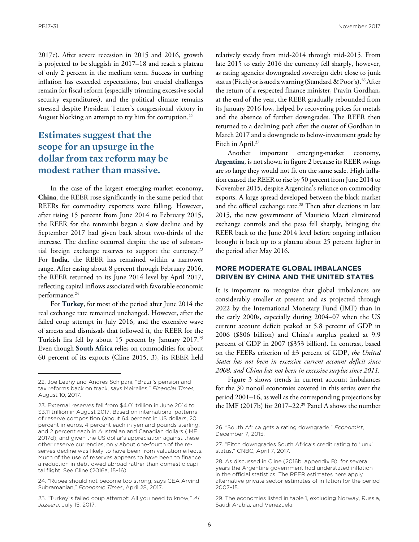2017c). After severe recession in 2015 and 2016, growth is projected to be sluggish in 2017–18 and reach a plateau of only 2 percent in the medium term. Success in curbing inflation has exceeded expectations, but crucial challenges remain for fiscal reform (especially trimming excessive social security expenditures), and the political climate remains stressed despite President Temer's congressional victory in August blocking an attempt to try him for corruption.<sup>22</sup>

### **Estimates suggest that the scope for an upsurge in the dollar from tax reform may be modest rather than massive.**

In the case of the largest emerging-market economy, **China**, the REER rose significantly in the same period that REERs for commodity exporters were falling. However, after rising 15 percent from June 2014 to February 2015, the REER for the renminbi began a slow decline and by September 2017 had given back about two-thirds of the increase. The decline occurred despite the use of substantial foreign exchange reserves to support the currency.<sup>23</sup> For **India**, the REER has remained within a narrower range. After easing about 8 percent through February 2016, the REER returned to its June 2014 level by April 2017, reflecting capital inflows associated with favorable economic performance.<sup>24</sup>

For **Turkey**, for most of the period after June 2014 the real exchange rate remained unchanged. However, after the failed coup attempt in July 2016, and the extensive wave of arrests and dismissals that followed it, the REER for the Turkish lira fell by about 15 percent by January 2017.25 Even though **South Africa** relies on commodities for about 60 percent of its exports (Cline 2015, 3), its REER held

24. "Rupee should not become too strong, says CEA Arvind Subramanian," *Economic Times*, April 28, 2017.

relatively steady from mid-2014 through mid-2015. From late 2015 to early 2016 the currency fell sharply, however, as rating agencies downgraded sovereign debt close to junk status (Fitch) or issued a warning (Standard & Poor's).26 After the return of a respected finance minister, Pravin Gordhan, at the end of the year, the REER gradually rebounded from its January 2016 low, helped by recovering prices for metals and the absence of further downgrades. The REER then returned to a declining path after the ouster of Gordhan in March 2017 and a downgrade to below-investment grade by Fitch in April.<sup>27</sup>

Another important emerging-market economy, **Argentina**, is not shown in figure 2 because its REER swings are so large they would not fit on the same scale. High inflation caused the REER to rise by 50 percent from June 2014 to November 2015, despite Argentina's reliance on commodity exports. A large spread developed between the black market and the official exchange rate.<sup>28</sup> Then after elections in late 2015, the new government of Mauricio Macri eliminated exchange controls and the peso fell sharply, bringing the REER back to the June 2014 level before ongoing inflation brought it back up to a plateau about 25 percent higher in the period after May 2016.

### **MORE MODERATE GLOBAL IMBALANCES DRIVEN BY CHINA AND THE UNITED STATES**

It is important to recognize that global imbalances are considerably smaller at present and as projected through 2022 by the International Monetary Fund (IMF) than in the early 2000s, especially during 2004–07 when the US current account deficit peaked at 5.8 percent of GDP in 2006 (\$806 billion) and China's surplus peaked at 9.9 percent of GDP in 2007 (\$353 billion). In contrast, based on the FEERs criterion of ±3 percent of GDP, *the United States has not been in excessive current account deficit since 2008, and China has not been in excessive surplus since 2011.*

Figure 3 shows trends in current account imbalances for the 30 nonoil economies covered in this series over the period 2001–16, as well as the corresponding projections by the IMF (2017b) for 2017–22.29 Panel A shows the number

<sup>22.</sup> Joe Leahy and Andres Schipani, "Brazil's pension and tax reforms back on track, says Meirelles," *Financial Times,*  August 10, 2017.

<sup>23.</sup> External reserves fell from \$4.01 trillion in June 2014 to \$3.11 trillion in August 2017. Based on international patterns of reserve composition (about 64 percent in US dollars, 20 percent in euros, 4 percent each in yen and pounds sterling, and 2 percent each in Australian and Canadian dollars (IMF 2017d), and given the US dollar's appreciation against these other reserve currencies, only about one-fourth of the reserves decline was likely to have been from valuation effects. Much of the use of reserves appears to have been to finance a reduction in debt owed abroad rather than domestic capital flight. See Cline (2016a, 15–16).

<sup>25. &</sup>quot;Turkey"s failed coup attempt: All you need to know," *Al Jazeera*, July 15, 2017.

<sup>26. &</sup>quot;South Africa gets a rating downgrade," *Economist*, December 7, 2015.

<sup>27. &</sup>quot;Fitch downgrades South Africa's credit rating to 'junk' status," CNBC, April 7, 2017.

<sup>28.</sup> As discussed in Cline (2016b, appendix B), for several years the Argentine government had understated inflation in the official statistics. The REER estimates here apply alternative private sector estimates of inflation for the period 2007–15.

<sup>29.</sup> The economies listed in table 1, excluding Norway, Russia, Saudi Arabia, and Venezuela.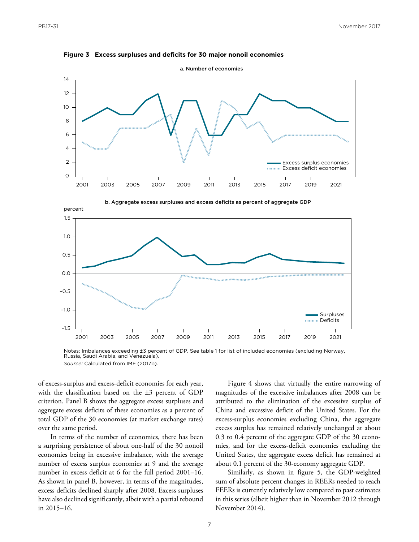



a. Number of economies





of excess-surplus and excess-deficit economies for each year, with the classification based on the ±3 percent of GDP criterion. Panel B shows the aggregate excess surpluses and aggregate excess deficits of these economies as a percent of total GDP of the 30 economies (at market exchange rates) over the same period.

In terms of the number of economies, there has been a surprising persistence of about one-half of the 30 nonoil economies being in excessive imbalance, with the average number of excess surplus economies at 9 and the average number in excess deficit at 6 for the full period 2001–16. As shown in panel B, however, in terms of the magnitudes, excess deficits declined sharply after 2008. Excess surpluses have also declined significantly, albeit with a partial rebound in 2015–16.

Figure 4 shows that virtually the entire narrowing of magnitudes of the excessive imbalances after 2008 can be attributed to the elimination of the excessive surplus of China and excessive deficit of the United States. For the excess-surplus economies excluding China, the aggregate excess surplus has remained relatively unchanged at about 0.3 to 0.4 percent of the aggregate GDP of the 30 economies, and for the excess-deficit economies excluding the United States, the aggregate excess deficit has remained at about 0.1 percent of the 30-economy aggregate GDP.

Similarly, as shown in figure 5, the GDP-weighted sum of absolute percent changes in REERs needed to reach FEERs is currently relatively low compared to past estimates in this series (albeit higher than in November 2012 through November 2014).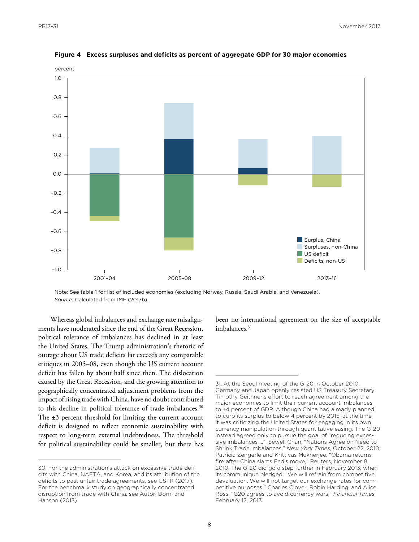

**Figure 4 Excess surpluses and deficits as percent of aggregate GDP for 30 major economies**

Note: See table 1 for list of included economies (excluding Norway, Russia, Saudi Arabia, and Venezuela). *Source:* Calculated from IMF (2017b).

Whereas global imbalances and exchange rate misalignments have moderated since the end of the Great Recession, political tolerance of imbalances has declined in at least the United States. The Trump administration's rhetoric of outrage about US trade deficits far exceeds any comparable critiques in 2005–08, even though the US current account deficit has fallen by about half since then. The dislocation caused by the Great Recession, and the growing attention to geographically concentrated adjustment problems from the impact of rising trade with China, have no doubt contributed to this decline in political tolerance of trade imbalances.<sup>30</sup> The  $\pm 3$  percent threshold for limiting the current account deficit is designed to reflect economic sustainability with respect to long-term external indebtedness. The threshold for political sustainability could be smaller, but there has

been no international agreement on the size of acceptable imbalances.<sup>31</sup>

<sup>30.</sup> For the administration's attack on excessive trade deficits with China, NAFTA, and Korea, and its attribution of the deficits to past unfair trade agreements, see USTR (2017). For the benchmark study on geographically concentrated disruption from trade with China, see Autor, Dorn, and Hanson (2013).

<sup>31.</sup> At the Seoul meeting of the G-20 in October 2010, Germany and Japan openly resisted US Treasury Secretary Timothy Geithner's effort to reach agreement among the major economies to limit their current account imbalances to ±4 percent of GDP. Although China had already planned to curb its surplus to below 4 percent by 2015, at the time it was criticizing the United States for engaging in its own currency manipulation through quantitative easing. The G-20 instead agreed only to pursue the goal of "reducing excessive imbalances …". Sewell Chan, "Nations Agree on Need to Shrink Trade Imbalances," *New York Times*, October 22, 2010; Patricia Zengerle and Krittivas Mukherjee, "Obama returns fire after China slams Fed's move," Reuters, November 8, 2010. The G-20 did go a step further in February 2013, when its communique pledged: "We will refrain from competitive devaluation. We will not target our exchange rates for competitive purposes." Charles Clover, Robin Harding, and Alice Ross, "G20 agrees to avoid currency wars," *Financial Times*, February 17, 2013.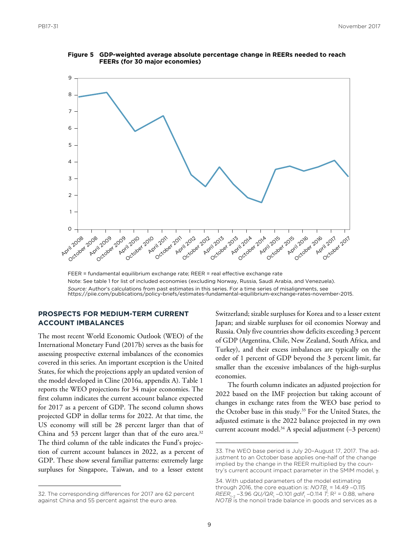

**Figure 5 GDP-weighted average absolute percentage change in REERs needed to reach FEERs (for 30 major economies)**

FEER = fundamental equilibrium exchange rate; REER = real effective exchange rate Note: See table 1 for list of included economies (excluding Norway, Russia, Saudi Arabia, and Venezuela). *Source:* Author's calculations from past estimates in this series. For a time series of misalignments, see https://piie.com/publications/policy-briefs/estimates-fundamental-equilibrium-exchange-rates-november-2015.

### **PROSPECTS FOR MEDIUM-TERM CURRENT ACCOUNT IMBALANCES**

The most recent World Economic Outlook (WEO) of the International Monetary Fund (2017b) serves as the basis for assessing prospective external imbalances of the economies covered in this series. An important exception is the United States, for which the projections apply an updated version of the model developed in Cline (2016a, appendix A). Table 1 reports the WEO projections for 34 major economies. The first column indicates the current account balance expected for 2017 as a percent of GDP. The second column shows projected GDP in dollar terms for 2022. At that time, the US economy will still be 28 percent larger than that of China and 53 percent larger than that of the euro area. $32$ The third column of the table indicates the Fund's projection of current account balances in 2022, as a percent of GDP. These show several familiar patterns: extremely large surpluses for Singapore, Taiwan, and to a lesser extent

32. The corresponding differences for 2017 are 62 percent against China and 55 percent against the euro area.

Switzerland; sizable surpluses for Korea and to a lesser extent Japan; and sizable surpluses for oil economies Norway and Russia. Only five countries show deficits exceeding 3 percent of GDP (Argentina, Chile, New Zealand, South Africa, and Turkey), and their excess imbalances are typically on the order of 1 percent of GDP beyond the 3 percent limit, far smaller than the excessive imbalances of the high-surplus economies.

The fourth column indicates an adjusted projection for 2022 based on the IMF projection but taking account of changes in exchange rates from the WEO base period to the October base in this study.<sup>33</sup> For the United States, the adjusted estimate is the 2022 balance projected in my own current account model.<sup>34</sup> A special adjustment  $(-3$  percent)

<sup>33.</sup> The WEO base period is July 20–August 17, 2017. The adjustment to an October base applies one-half of the change implied by the change in the REER multiplied by the country's current account impact parameter in the SMIM model, γ.

<sup>34.</sup> With updated parameters of the model estimating through 2016, the core equation is:  $NOTB<sub>t</sub> = 14.49 - 0.115$ *REER*<sub>t-2</sub> −3.96 *QU/QR*<sub>t</sub> −0.101 *gdif*<sub>t</sub> −0.114 *T*; R<sup>2</sup> = 0.88, where *NOTB* is the nonoil trade balance in goods and services as a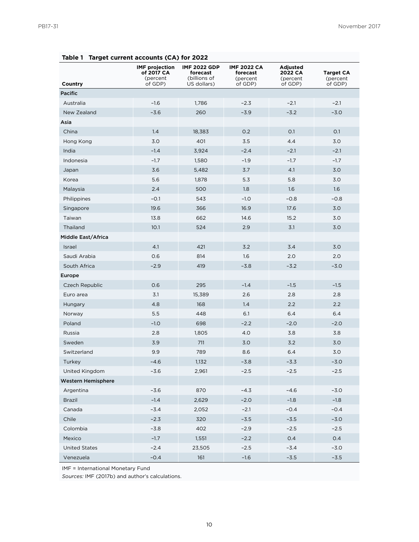| Country                   | <b>IMF</b> projection<br>of 2017 CA<br>(percent<br>of GDP) | <b>IMF 2022 GDP</b><br>forecast<br>(billions of<br>US dollars) | <b>IMF 2022 CA</b><br>forecast<br>(percent<br>of GDP) | Adjusted<br>2022 CA<br>(percent<br>of GDP) | <b>Target CA</b><br>(percent<br>of GDP) |  |
|---------------------------|------------------------------------------------------------|----------------------------------------------------------------|-------------------------------------------------------|--------------------------------------------|-----------------------------------------|--|
| <b>Pacific</b>            |                                                            |                                                                |                                                       |                                            |                                         |  |
| Australia                 | $-1.6$                                                     | 1,786                                                          | $-2.3$                                                | $-2.1$                                     | $-2.1$                                  |  |
| New Zealand               | $-3.6$                                                     | 260                                                            | $-3.9$                                                | $-3.2$                                     | $-3.0$                                  |  |
| Asia                      |                                                            |                                                                |                                                       |                                            |                                         |  |
| China                     | 1.4                                                        | 18,383                                                         | 0.2                                                   | 0.1                                        | O.1                                     |  |
| Hong Kong                 | 3.0                                                        | 401                                                            | 3.5                                                   | 4.4                                        | 3.0                                     |  |
| India                     | $-1.4$                                                     | 3,924                                                          | $-2.4$                                                | $-2.1$                                     | $-2.1$                                  |  |
| Indonesia                 | $-1.7$                                                     | 1,580                                                          | $-1.9$                                                | $-1.7$                                     | $-1.7$                                  |  |
| Japan                     | 3.6                                                        | 5,482                                                          | 3.7                                                   | 4.1                                        | 3.0                                     |  |
| Korea                     | 5.6                                                        | 1,878                                                          | 5.3                                                   | 5.8                                        | 3.0                                     |  |
| Malaysia                  | 2.4                                                        | 500                                                            | 1.8                                                   | 1.6                                        | 1.6                                     |  |
| Philippines               | $-0.1$                                                     | 543                                                            | $-1.0$                                                | $-0.8$                                     | $-0.8$                                  |  |
| Singapore                 | 19.6                                                       | 366                                                            | 16.9                                                  | 17.6                                       | 3.0                                     |  |
| Taiwan                    | 13.8                                                       | 662                                                            | 14.6                                                  | 15.2                                       | 3.0                                     |  |
| Thailand                  | 10.1                                                       | 524                                                            | 2.9                                                   | 3.1                                        | 3.0                                     |  |
| Middle East/Africa        |                                                            |                                                                |                                                       |                                            |                                         |  |
| Israel                    | 4.1                                                        | 421                                                            | 3.2                                                   | 3.4                                        | 3.0                                     |  |
| Saudi Arabia              | 0.6                                                        | 814                                                            | 1.6                                                   | 2.0                                        | 2.0                                     |  |
| South Africa              | $-2.9$                                                     | 419                                                            | $-3.8$                                                | $-3.2$                                     | $-3.0$                                  |  |
| Europe                    |                                                            |                                                                |                                                       |                                            |                                         |  |
| Czech Republic            | 0.6                                                        | 295                                                            | $-1.4$                                                | $-1.5$                                     | $-1.5$                                  |  |
| Euro area                 | 3.1                                                        | 15,389                                                         | 2.6                                                   | 2.8                                        | 2.8                                     |  |
| Hungary                   | 4.8                                                        | 168                                                            | 1.4                                                   | 2.2                                        | 2.2                                     |  |
| Norway                    | 5.5                                                        | 448                                                            | 6.1                                                   | 6.4                                        | 6.4                                     |  |
| Poland                    | $-1.0$                                                     | 698                                                            | $-2.2$                                                | $-2.0$                                     | $-2.0$                                  |  |
| Russia                    | 2.8                                                        | 1,805                                                          | 4.0                                                   | 3.8                                        | 3.8                                     |  |
| Sweden                    | 3.9                                                        | 711                                                            | 3.0                                                   | 3.2                                        | 3.0                                     |  |
| Switzerland               | 9.9                                                        | 789                                                            | 8.6                                                   | 6.4                                        | 3.0                                     |  |
| Turkey                    | $-4.6$                                                     | 1,132                                                          | $-3.8$                                                | $-3.3$                                     | $-3.0$                                  |  |
| United Kingdom            | $-3.6$                                                     | 2,961                                                          | $-2.5$                                                | $-2.5$                                     | $-2.5$                                  |  |
| <b>Western Hemisphere</b> |                                                            |                                                                |                                                       |                                            |                                         |  |
| Argentina                 | $-3.6$                                                     | 870                                                            | $-4.3$                                                | $-4.6$                                     | $-3.0$                                  |  |
| Brazil                    | $-1.4$                                                     | 2,629                                                          | $-2.0$                                                | $-1.8$                                     | $-1.8$                                  |  |
| Canada                    | $-3.4$                                                     | 2,052                                                          | $-2.1$                                                | $-0.4$                                     | $-0.4$                                  |  |
| Chile                     | $-2.3$                                                     | 320                                                            | $-3.5$                                                | $-3.5$                                     | $-3.0$                                  |  |
| Colombia                  | $-3.8$                                                     | 402                                                            | $-2.9$                                                | $-2.5$                                     | $-2.5$                                  |  |
| Mexico                    | $-1.7$                                                     | 1,551                                                          | $-2.2$                                                | 0.4                                        | 0.4                                     |  |
| <b>United States</b>      | $-2.4$                                                     | 23,505                                                         | $-2.5$                                                | $-3.4$                                     | $-3.0$                                  |  |
| Venezuela                 | $-0.4$                                                     | 161                                                            | $-1.6$                                                | $-3.5$                                     | $-3.5$                                  |  |

### **Table 1 Target current accounts (CA) for 2022**

IMF = International Monetary Fund

*Sources:* IMF (2017b) and author's calculations.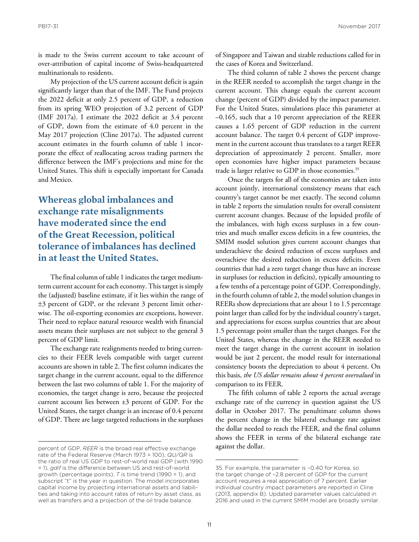is made to the Swiss current account to take account of over-attribution of capital income of Swiss-headquartered multinationals to residents.

My projection of the US current account deficit is again significantly larger than that of the IMF. The Fund projects the 2022 deficit at only 2.5 percent of GDP, a reduction from its spring WEO projection of 3.2 percent of GDP (IMF 2017a). I estimate the 2022 deficit at 3.4 percent of GDP, down from the estimate of 4.0 percent in the May 2017 projection (Cline 2017a). The adjusted current account estimates in the fourth column of table 1 incorporate the effect of reallocating across trading partners the difference between the IMF's projections and mine for the United States. This shift is especially important for Canada and Mexico.

### **Whereas global imbalances and exchange rate misalignments have moderated since the end of the Great Recession, political tolerance of imbalances has declined in at least the United States.**

The final column of table 1 indicates the target mediumterm current account for each economy. This target is simply the (adjusted) baseline estimate, if it lies within the range of ±3 percent of GDP, or the relevant 3 percent limit otherwise. The oil-exporting economies are exceptions, however. Their need to replace natural resource wealth with financial assets means their surpluses are not subject to the general 3 percent of GDP limit.

The exchange rate realignments needed to bring currencies to their FEER levels compatible with target current accounts are shown in table 2. The first column indicates the target change in the current account, equal to the difference between the last two columns of table 1. For the majority of economies, the target change is zero, because the projected current account lies between ±3 percent of GDP. For the United States, the target change is an increase of 0.4 percent of GDP. There are large targeted reductions in the surpluses

of Singapore and Taiwan and sizable reductions called for in the cases of Korea and Switzerland.

The third column of table 2 shows the percent change in the REER needed to accomplish the target change in the current account. This change equals the current account change (percent of GDP) divided by the impact parameter. For the United States, simulations place this parameter at –0.165, such that a 10 percent appreciation of the REER causes a 1.65 percent of GDP reduction in the current account balance. The target 0.4 percent of GDP improvement in the current account thus translates to a target REER depreciation of approximately 2 percent. Smaller, more open economies have higher impact parameters because trade is larger relative to GDP in those economies.<sup>35</sup>

Once the targets for all of the economies are taken into account jointly, international consistency means that each country's target cannot be met exactly. The second column in table 2 reports the simulation results for overall consistent current account changes. Because of the lopsided profile of the imbalances, with high excess surpluses in a few countries and much smaller excess deficits in a few countries, the SMIM model solution gives current account changes that underachieve the desired reduction of excess surpluses and overachieve the desired reduction in excess deficits. Even countries that had a zero target change thus have an increase in surpluses (or reduction in deficits), typically amounting to a few tenths of a percentage point of GDP. Correspondingly, in the fourth column of table 2, the model solution changes in REERs show depreciations that are about 1 to 1.5 percentage point larger than called for by the individual country's target, and appreciations for excess surplus countries that are about 1.5 percentage point smaller than the target changes. For the United States, whereas the change in the REER needed to meet the target change in the current account in isolation would be just 2 percent, the model result for international consistency boosts the depreciation to about 4 percent. On this basis, *the US dollar remains about 4 percent overvalued* in comparison to its FEER.

The fifth column of table 2 reports the actual average exchange rate of the currency in question against the US dollar in October 2017. The penultimate column shows the percent change in the bilateral exchange rate against the dollar needed to reach the FEER, and the final column shows the FEER in terms of the bilateral exchange rate against the dollar.

percent of GDP, *REER* is the broad real effective exchange rate of the Federal Reserve (March 1973 = 100), *QU/QR* is the ratio of real US GDP to rest-of-world real GDP (with 1990 = 1), *gdif* is the difference between US and rest-of-world growth (percentage points), *T* is time trend (1990 = 1), and subscript "t" is the year in question. The model incorporates capital income by projecting international assets and liabilities and taking into account rates of return by asset class, as well as transfers and a projection of the oil trade balance.

<sup>35.</sup> For example, the parameter is –0.40 for Korea, so the target change of –2.8 percent of GDP for the current account requires a real appreciation of 7 percent. Earlier individual country impact parameters are reported in Cline (2013, appendix B). Updated parameter values calculated in 2016 and used in the current SMIM model are broadly similar.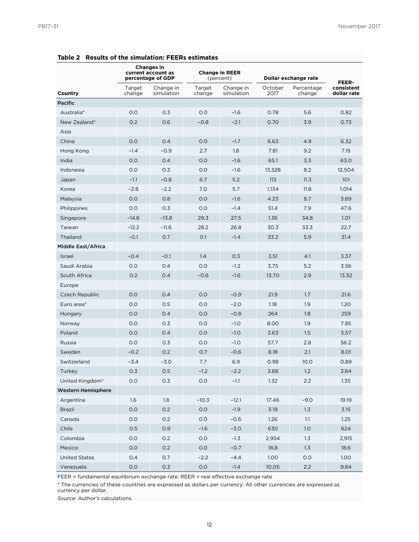|                      | <b>Changes in</b><br>current account as<br>percentage of GDP |                         | <b>Change in REER</b><br>(percent) |                         | Dollar exchange rate |                      | FEER-                     |
|----------------------|--------------------------------------------------------------|-------------------------|------------------------------------|-------------------------|----------------------|----------------------|---------------------------|
| Country              | Target<br>change                                             | Change in<br>simulation | Target<br>change                   | Change in<br>simulation | October<br>2017      | Percentage<br>change | consistent<br>dollar rate |
| <b>Pacific</b>       |                                                              |                         |                                    |                         |                      |                      |                           |
| Australia*           | 0.0                                                          | 0.3                     | 0.0                                | $-1.6$                  | 0.78                 | 5.6                  | 0.82                      |
| New Zealand*         | 0.2                                                          | 0.6                     | $-0.8$                             | $-2.1$                  | 0.70                 | 3.9                  | 0.73                      |
| Asia                 |                                                              |                         |                                    |                         |                      |                      |                           |
| China                | 0.0                                                          | 0.4                     | 0.0                                | $-1.7$                  | 6.63                 | 4.9                  | 6.32                      |
| Hong Kong            | $-1.4$                                                       | $-0.9$                  | 2.7                                | 1.8                     | 7.81                 | 9.2                  | 7.15                      |
| India                | 0.0                                                          | 0.4                     | 0.0                                | $-1.6$                  | 65.1                 | 3.3                  | 63.0                      |
| Indonesia            | 0.0                                                          | 0.3                     | 0.0                                | $-1.6$                  | 13,528               | 8.2                  | 12,504                    |
| Japan                | $-1.1$                                                       | $-0.8$                  | 6.7                                | 5.2                     | 113                  | 11.3                 | 101                       |
| Korea                | $-2.8$                                                       | $-2.2$                  | 7.0                                | 5.7                     | 1,134                | 11.8                 | 1,014                     |
| Malaysia             | 0.0                                                          | 0.8                     | 0.0                                | $-1.6$                  | 4.23                 | 8.7                  | 3.89                      |
| Philippines          | 0.0                                                          | 0.3                     | 0.0                                | $-1.4$                  | 51.4                 | 7.9                  | 47.6                      |
| Singapore            | $-14.6$                                                      | $-13.8$                 | 29.3                               | 27.5                    | 1.36                 | 34.8                 | 1.01                      |
| Taiwan               | $-12.2$                                                      | $-11.6$                 | 28.2                               | 26.8                    | 30.3                 | 33.3                 | 22.7                      |
| Thailand             | $-0.1$                                                       | 0.7                     | 0.1                                | $-1.4$                  | 33.2                 | 5.9                  | 31.4                      |
| Middle East/Africa   |                                                              |                         |                                    |                         |                      |                      |                           |
| Israel               | $-0.4$                                                       | $-0.1$                  | 1.4                                | 0.3                     | 3.51                 | 4.1                  | 3.37                      |
| Saudi Arabia         | 0.0                                                          | 0.4                     | 0.0                                | $-1.2$                  | 3.75                 | 5.2                  | 3.56                      |
| South Africa         | 0.2                                                          | 0.4                     | $-0.6$                             | $-1.6$                  | 13.70                | 2.9                  | 13.32                     |
| Europe               |                                                              |                         |                                    |                         |                      |                      |                           |
| Czech Republic       | 0.0                                                          | 0.4                     | 0.0                                | $-0.9$                  | 21.9                 | 1.7                  | 21.6                      |
| Euro area*           | 0.0                                                          | 0.5                     | 0.0                                | $-2.0$                  | 1.18                 | 1.9                  | 1.20                      |
| Hungary              | 0.0                                                          | 0.4                     | 0.0                                | $-0.8$                  | 264                  | 1.8                  | 259                       |
| Norway               | 0.0                                                          | 0.3                     | 0.0                                | $-1.0$                  | 8.00                 | 1.9                  | 7.85                      |
| Poland               | 0.0                                                          | 0.4                     | 0.0                                | $-1.0$                  | 3.63                 | 1.5                  | 3.57                      |
| Russia               | 0.0                                                          | 0.3                     | 0.0                                | $-1.0$                  | 57.7                 | 2.8                  | 56.2                      |
| Sweden               | $-0.2$                                                       | 0.2                     | 0.7                                | $-0.6$                  | 8.18                 | 2.1                  | 8.01                      |
| Switzerland          | $-3.4$                                                       | $-3.0$                  | 7.7                                | 6.9                     | 0.98                 | 10.0                 | 0.89                      |
| Turkey               | $0.3\,$                                                      | 0.5                     | $-1.2$                             | $-2.2$                  | 3.68                 | $1.2\,$              | 3.64                      |
| United Kingdom*      | 0.0                                                          | 0.3                     | 0.0                                | $-1.1$                  | 1.32                 | 2.2                  | 1.35                      |
| Western Hemisphere   |                                                              |                         |                                    |                         |                      |                      |                           |
| Argentina            | 1.6                                                          | 1.8                     | $-10.3$                            | $-12.1$                 | 17.46                | $-9.0$               | 19.19                     |
| <b>Brazil</b>        | 0.0                                                          | 0.2                     | 0.0                                | $-1.9$                  | 3.19                 | 1.3                  | 3.15                      |
| Canada               | $0.0\,$                                                      | 0.2                     | 0.0                                | $-0.6$                  | 1.26                 | 1.1                  | 1.25                      |
| Chile                | 0.5                                                          | 0.9                     | $-1.6$                             | $-3.0$                  | 630                  | 1.0                  | 624                       |
| Colombia             | 0.0                                                          | 0.2                     | 0.0                                | $-1.3$                  | 2,954                | 1.3                  | 2,915                     |
| Mexico               | 0.0                                                          | 0.2                     | 0.0                                | $-0.7$                  | 18.8                 | 1.3                  | 18.6                      |
| <b>United States</b> | 0.4                                                          | 0.7                     | $-2.2$                             | $-4.4$                  | 1.00                 | 0.0                  | 1.00                      |
| Venezuela            | 0.0                                                          | 0.3                     | 0.0                                | $-1.4$                  | 10.05                | 2.2                  | 9.84                      |

**Table 2 Results of the simulation: FEERs estimates**

FEER = fundamental equilibrium exchange rate; REER = real effective exchange rate

\* The currencies of these countries are expressed as dollars per currency. All other currencies are expressed as currency per dollar.

*Source:* Author's calculations.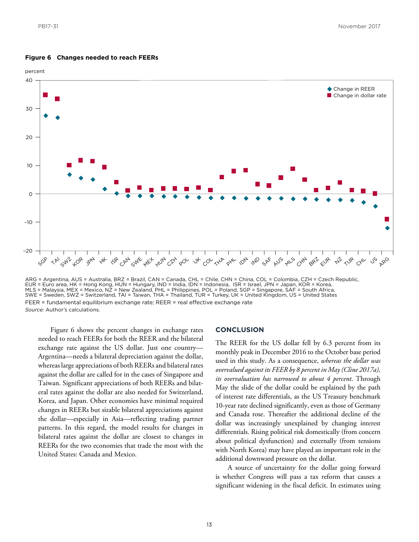



ARG = Argentina, AUS = Australia, BRZ = Brazil, CAN = Canada, CHL = Chile, CHN = China, COL = Colombia, CZH = Czech Republic,<br>EUR = Euro area, HK = Hong Kong, HUN = Hungary, IND = India, IDN = Indonesia, ISR = Israel, JPN FEER = fundamental equilibrium exchange rate; REER = real effective exchange rate *Source:* Author's calculations.

Figure 6 shows the percent changes in exchange rates needed to reach FEERs for both the REER and the bilateral exchange rate against the US dollar. Just one country— Argentina—needs a bilateral depreciation against the dollar, whereas large appreciations of both REERs and bilateral rates against the dollar are called for in the cases of Singapore and Taiwan. Significant appreciations of both REERs and bilateral rates against the dollar are also needed for Switzerland, Korea, and Japan. Other economies have minimal required changes in REERs but sizable bilateral appreciations against the dollar—especially in Asia—reflecting trading partner patterns. In this regard, the model results for changes in bilateral rates against the dollar are closest to changes in REERs for the two economies that trade the most with the United States: Canada and Mexico.

### **CONCLUSION**

The REER for the US dollar fell by 6.3 percent from its monthly peak in December 2016 to the October base period used in this study. As a consequence, *whereas the dollar was overvalued against its FEER by 8 percent in May (Cline 2017a), its overvaluation has narrowed to about 4 percent*. Through May the slide of the dollar could be explained by the path of interest rate differentials, as the US Treasury benchmark 10-year rate declined significantly, even as those of Germany and Canada rose. Thereafter the additional decline of the dollar was increasingly unexplained by changing interest differentials. Rising political risk domestically (from concern about political dysfunction) and externally (from tensions with North Korea) may have played an important role in the additional downward pressure on the dollar.

A source of uncertainty for the dollar going forward is whether Congress will pass a tax reform that causes a significant widening in the fiscal deficit. In estimates using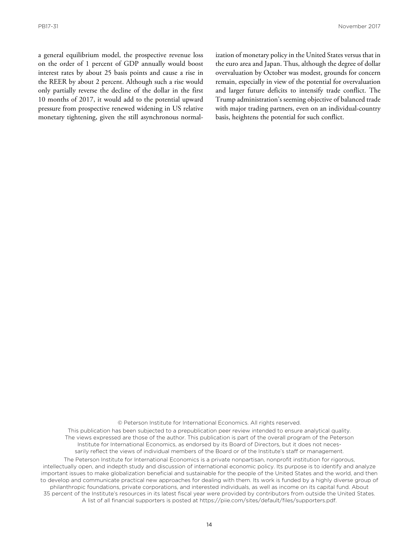a general equilibrium model, the prospective revenue loss on the order of 1 percent of GDP annually would boost interest rates by about 25 basis points and cause a rise in the REER by about 2 percent. Although such a rise would only partially reverse the decline of the dollar in the first 10 months of 2017, it would add to the potential upward pressure from prospective renewed widening in US relative monetary tightening, given the still asynchronous normalization of monetary policy in the United States versus that in the euro area and Japan. Thus, although the degree of dollar overvaluation by October was modest, grounds for concern remain, especially in view of the potential for overvaluation and larger future deficits to intensify trade conflict. The Trump administration's seeming objective of balanced trade with major trading partners, even on an individual-country basis, heightens the potential for such conflict.

© Peterson Institute for International Economics. All rights reserved.

This publication has been subjected to a prepublication peer review intended to ensure analytical quality. The views expressed are those of the author. This publication is part of the overall program of the Peterson Institute for International Economics, as endorsed by its Board of Directors, but it does not necessarily reflect the views of individual members of the Board or of the Institute's staff or management.

The Peterson Institute for International Economics is a private nonpartisan, nonprofit institution for rigorous, intellectually open, and indepth study and discussion of international economic policy. Its purpose is to identify and analyze important issues to make globalization beneficial and sustainable for the people of the United States and the world, and then to develop and communicate practical new approaches for dealing with them. Its work is funded by a highly diverse group of philanthropic foundations, private corporations, and interested individuals, as well as income on its capital fund. About 35 percent of the Institute's resources in its latest fiscal year were provided by contributors from outside the United States. A list of all financial supporters is posted at https://piie.com/sites/default/files/supporters.pdf.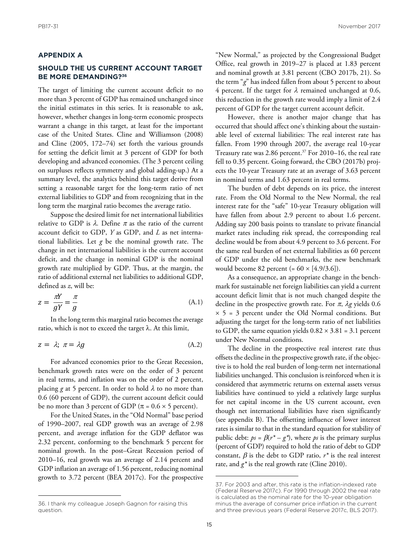### **APPENDIX A**

### **SHOULD THE US CURRENT ACCOUNT TARGET BE MORE DEMANDING?36**

The target of limiting the current account deficit to no more than 3 percent of GDP has remained unchanged since the initial estimates in this series. It is reasonable to ask, however, whether changes in long-term economic prospects warrant a change in this target, at least for the important case of the United States. Cline and Williamson (2008) and Cline (2005, 172–74) set forth the various grounds for setting the deficit limit at 3 percent of GDP for both developing and advanced economies. (The 3 percent ceiling on surpluses reflects symmetry and global adding-up.) At a summary level, the analytics behind this target derive from setting a reasonable target for the long-term ratio of net external liabilities to GDP and from recognizing that in the long term the marginal ratio becomes the average ratio.

Suppose the desired limit for net international liabilities relative to GDP is  $\lambda$ . Define  $\pi$  as the ratio of the current account deficit to GDP, *Y* as GDP, and *L* as net international liabilities. Let  $g$  be the nominal growth rate. The change in net international liabilities is the current account deficit, and the change in nominal GDP is the nominal growth rate multiplied by GDP. Thus, at the margin, the ratio of additional external net liabilities to additional GDP, defined as *z*, will be:

$$
z = \frac{\pi Y}{gY} = \frac{\pi}{g} \tag{A.1}
$$

In the long term this marginal ratio becomes the average ratio, which is not to exceed the target  $\lambda$ . At this limit,

$$
z = \lambda; \ \pi = \lambda g \tag{A.2}
$$

For advanced economies prior to the Great Recession, benchmark growth rates were on the order of 3 percent in real terms, and inflation was on the order of 2 percent, placing *g* at 5 percent. In order to hold  $\lambda$  to no more than 0.6 (60 percent of GDP), the current account deficit could be no more than 3 percent of GDP ( $\pi$  = 0.6  $\times$  5 percent).

For the United States, in the "Old Normal" base period of 1990–2007, real GDP growth was an average of 2.98 percent, and average inflation for the GDP deflator was 2.32 percent, conforming to the benchmark 5 percent for nominal growth. In the post–Great Recession period of 2010–16, real growth was an average of 2.14 percent and GDP inflation an average of 1.56 percent, reducing nominal growth to 3.72 percent (BEA 2017c). For the prospective

"New Normal," as projected by the Congressional Budget Office, real growth in 2019–27 is placed at 1.83 percent and nominal growth at 3.81 percent (CBO 2017b, 21). So the term "*g*" has indeed fallen from about 5 percent to about 4 percent. If the target for  $\lambda$  remained unchanged at 0.6, this reduction in the growth rate would imply a limit of 2.4 percent of GDP for the target current account deficit.

However, there is another major change that has occurred that should affect one's thinking about the sustainable level of external liabilities: The real interest rate has fallen. From 1990 through 2007, the average real 10-year Treasury rate was 2.86 percent.<sup>37</sup> For 2010–16, the real rate fell to 0.35 percent. Going forward, the CBO (2017b) projects the 10-year Treasury rate at an average of 3.63 percent in nominal terms and 1.63 percent in real terms.

The burden of debt depends on its price, the interest rate. From the Old Normal to the New Normal, the real interest rate for the "safe" 10-year Treasury obligation will have fallen from about 2.9 percent to about 1.6 percent. Adding say 200 basis points to translate to private financial market rates including risk spread, the corresponding real decline would be from about 4.9 percent to 3.6 percent. For the same real burden of net external liabilities as 60 percent of GDP under the old benchmarks, the new benchmark would become 82 percent (=  $60 \times [4.9/3.6]$ ).

As a consequence, an appropriate change in the benchmark for sustainable net foreign liabilities can yield a current account deficit limit that is not much changed despite the decline in the prospective growth rate. For π, λ*g* yields 0.6  $\times$  5 = 3 percent under the Old Normal conditions. But adjusting the target for the long-term ratio of net liabilities to GDP, the same equation yields  $0.82 \times 3.81 = 3.1$  percent under New Normal conditions.

The decline in the prospective real interest rate thus offsets the decline in the prospective growth rate, if the objective is to hold the real burden of long-term net international liabilities unchanged. This conclusion is reinforced when it is considered that asymmetric returns on external assets versus liabilities have continued to yield a relatively large surplus for net capital income in the US current account, even though net international liabilities have risen significantly (see appendix B). The offsetting influence of lower interest rates is similar to that in the standard equation for stability of public debt:  $ps = \beta(r^* - g^*)$ , where *ps* is the primary surplus (percent of GDP) required to hold the ratio of debt to GDP constant,  $\beta$  is the debt to GDP ratio,  $r^*$  is the real interest rate, and  $g^*$  is the real growth rate (Cline 2010).

<sup>36.</sup> I thank my colleague Joseph Gagnon for raising this question.

<sup>37.</sup> For 2003 and after, this rate is the inflation-indexed rate (Federal Reserve 2017c). For 1990 through 2002 the real rate is calculated as the nominal rate for the 10-year obligation minus the average of consumer price inflation in the current and three previous years (Federal Reserve 2017c, BLS 2017).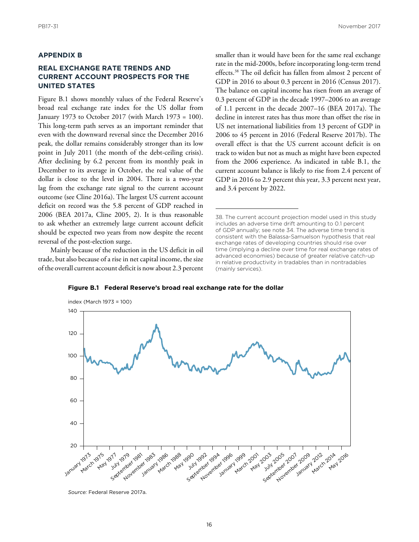### **APPENDIX B**

### **REAL EXCHANGE RATE TRENDS AND CURRENT ACCOUNT PROSPECTS FOR THE UNITED STATES**

Figure B.1 shows monthly values of the Federal Reserve's broad real exchange rate index for the US dollar from January 1973 to October 2017 (with March 1973 = 100). This long-term path serves as an important reminder that even with the downward reversal since the December 2016 peak, the dollar remains considerably stronger than its low point in July 2011 (the month of the debt-ceiling crisis). After declining by 6.2 percent from its monthly peak in December to its average in October, the real value of the dollar is close to the level in 2004. There is a two-year lag from the exchange rate signal to the current account outcome (see Cline 2016a). The largest US current account deficit on record was the 5.8 percent of GDP reached in 2006 (BEA 2017a, Cline 2005, 2). It is thus reasonable to ask whether an extremely large current account deficit should be expected two years from now despite the recent reversal of the post-election surge.

Mainly because of the reduction in the US deficit in oil trade, but also because of a rise in net capital income, the size of the overall current account deficit is now about 2.3 percent smaller than it would have been for the same real exchange rate in the mid-2000s, before incorporating long-term trend effects.38 The oil deficit has fallen from almost 2 percent of GDP in 2016 to about 0.3 percent in 2016 (Census 2017). The balance on capital income has risen from an average of 0.3 percent of GDP in the decade 1997–2006 to an average of 1.1 percent in the decade 2007–16 (BEA 2017a). The decline in interest rates has thus more than offset the rise in US net international liabilities from 13 percent of GDP in 2006 to 45 percent in 2016 (Federal Reserve 2017b). The overall effect is that the US current account deficit is on track to widen but not as much as might have been expected from the 2006 experience. As indicated in table B.1, the current account balance is likely to rise from 2.4 percent of GDP in 2016 to 2.9 percent this year, 3.3 percent next year, and 3.4 percent by 2022.

<sup>38.</sup> The current account projection model used in this study includes an adverse time drift amounting to 0.1 percent of GDP annually; see note 34. The adverse time trend is consistent with the Balassa-Samuelson hypothesis that real exchange rates of developing countries should rise over time (implying a decline over time for real exchange rates of advanced economies) because of greater relative catch-up in relative productivity in tradables than in nontradables (mainly services).



**Figure B.1 Federal Reserve's broad real exchange rate for the dollar** 

*Source:* Federal Reserve 2017a.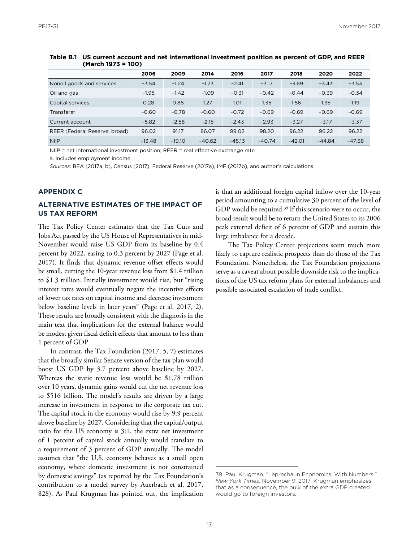|                               | 2006     | 2009     | 2014     | 2016     | 2017     | 2018     | 2020     | 2022     |
|-------------------------------|----------|----------|----------|----------|----------|----------|----------|----------|
| Nonoil goods and services     | $-3.54$  | $-1.24$  | $-1.73$  | $-2.41$  | $-3.17$  | $-3.69$  | $-3.43$  | $-3.53$  |
| Oil and gas                   | $-1.95$  | $-1.42$  | $-1.09$  | $-0.31$  | $-0.42$  | $-0.44$  | $-0.39$  | $-0.34$  |
| Capital services              | 0.28     | 0.86     | 1.27     | 1.01     | 1.35     | 1.56     | 1.35     | 1.19     |
| Transfers <sup>a</sup>        | $-0.60$  | $-0.78$  | $-0.60$  | $-0.72$  | $-0.69$  | $-0.69$  | $-0.69$  | $-0.69$  |
| Current account               | $-5.82$  | $-2.58$  | $-2.15$  | $-2.43$  | $-2.93$  | $-3.27$  | $-3.17$  | $-3.37$  |
| REER (Federal Reserve, broad) | 96.02    | 91.17    | 86.07    | 99.02    | 98.20    | 96.22    | 96.22    | 96.22    |
| <b>NIIP</b>                   | $-13.48$ | $-19.10$ | $-40.62$ | $-45.13$ | $-40.74$ | $-42.01$ | $-44.84$ | $-47.88$ |

**Table B.1 US current account and net international investment position as percent of GDP, and REER (March 1973 = 100)**

NIIP = net international investment position; REER = real effective exchange rate

a. Includes employment income.

*Sources:* BEA (2017a, b), Census (2017), Federal Reserve (2017a), IMF (2017b), and author's calculations.

### **APPENDIX C**

### **ALTERNATIVE ESTIMATES OF THE IMPACT OF US TAX REFORM**

The Tax Policy Center estimates that the Tax Cuts and Jobs Act passed by the US House of Representatives in mid-November would raise US GDP from its baseline by 0.4 percent by 2022, easing to 0.3 percent by 2027 (Page et al. 2017). It finds that dynamic revenue offset effects would be small, cutting the 10-year revenue loss from \$1.4 trillion to \$1.3 trillion. Initially investment would rise, but "rising interest rates would eventually negate the incentive effects of lower tax rates on capital income and decrease investment below baseline levels in later years" (Page et al. 2017, 2). These results are broadly consistent with the diagnosis in the main text that implications for the external balance would be modest given fiscal deficit effects that amount to less than 1 percent of GDP.

In contrast, the Tax Foundation (2017; 5, 7) estimates that the broadly similar Senate version of the tax plan would boost US GDP by 3.7 percent above baseline by 2027. Whereas the static revenue loss would be \$1.78 trillion over 10 years, dynamic gains would cut the net revenue loss to \$516 billion. The model's results are driven by a large increase in investment in response to the corporate tax cut. The capital stock in the economy would rise by 9.9 percent above baseline by 2027. Considering that the capital/output ratio for the US economy is 3:1, the extra net investment of 1 percent of capital stock annually would translate to a requirement of 3 percent of GDP annually. The model assumes that "the U.S. economy behaves as a small open economy, where domestic investment is not constrained by domestic savings" (as reported by the Tax Foundation's contribution to a model survey by Auerbach et al. 2017, 828). As Paul Krugman has pointed out, the implication is that an additional foreign capital inflow over the 10-year period amounting to a cumulative 30 percent of the level of GDP would be required.<sup>39</sup> If this scenario were to occur, the broad result would be to return the United States to its 2006 peak external deficit of 6 percent of GDP and sustain this large imbalance for a decade.

The Tax Policy Center projections seem much more likely to capture realistic prospects than do those of the Tax Foundation. Nonetheless, the Tax Foundation projections serve as a caveat about possible downside risk to the implications of the US tax reform plans for external imbalances and possible associated escalation of trade conflict.

<sup>39.</sup> Paul Krugman, "Leprechaun Economics, With Numbers," *New York Times*, November 9, 2017. Krugman emphasizes that as a consequence, the bulk of the extra GDP created would go to foreign investors.